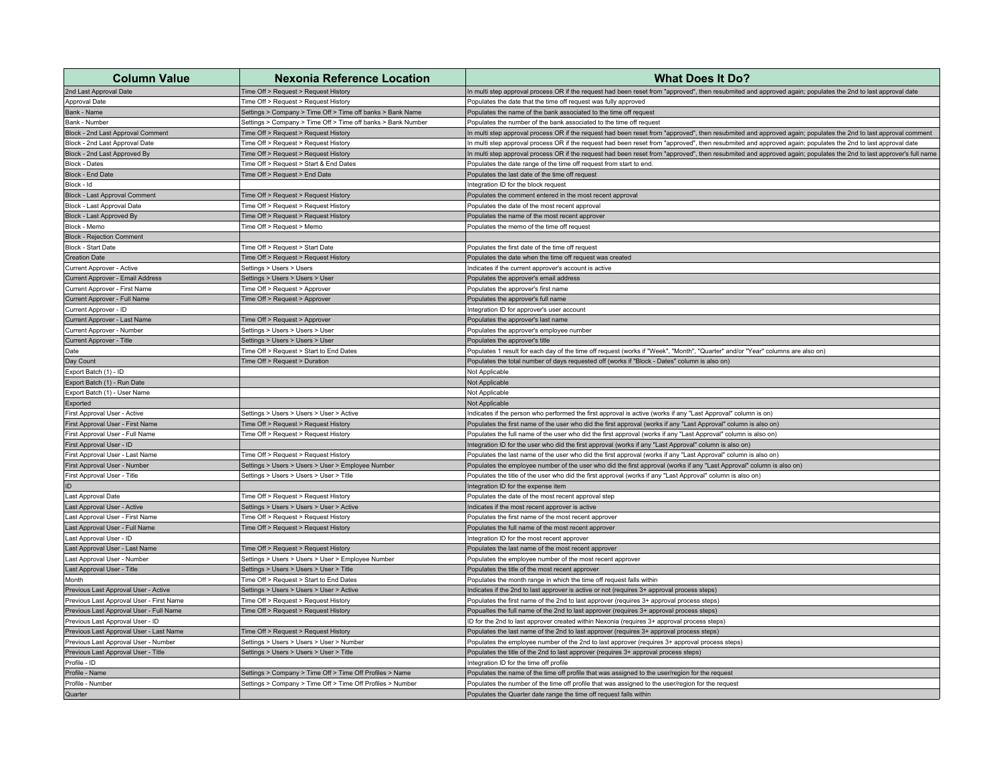| <b>Column Value</b>                      | <b>Nexonia Reference Location</b>                            | <b>What Does It Do?</b>                                                                                                                                             |
|------------------------------------------|--------------------------------------------------------------|---------------------------------------------------------------------------------------------------------------------------------------------------------------------|
| 2nd Last Approval Date                   | Time Off > Request > Request History                         | In multi step approval process OR if the request had been reset from "approved", then resubmited and approved again; populates the 2nd to last approval date        |
| Approval Date                            | Time Off > Request > Request History                         | Populates the date that the time off request was fully approved                                                                                                     |
| Bank - Name                              | Settings > Company > Time Off > Time off banks > Bank Name   | Populates the name of the bank associated to the time off request                                                                                                   |
| Bank - Number                            | Settings > Company > Time Off > Time off banks > Bank Number | Populates the number of the bank associated to the time off request                                                                                                 |
| Block - 2nd Last Approval Comment        | Time Off > Request > Request History                         | In multi step approval process OR if the request had been reset from "approved", then resubmited and approved again; populates the 2nd to last approval comment     |
| Block - 2nd Last Approval Date           | Time Off > Request > Request History                         | In multi step approval process OR if the request had been reset from "approved", then resubmited and approved again; populates the 2nd to last approval date        |
| Block - 2nd Last Approved By             | Time Off > Request > Request History                         | In multi step approval process OR if the request had been reset from "approved", then resubmited and approved again; populates the 2nd to last approver's full name |
| <b>Block - Dates</b>                     | Time Off > Request > Start & End Dates                       | Populates the date range of the time off request from start to end                                                                                                  |
| <b>Block - End Date</b>                  | Time Off > Request > End Date                                | Populates the last date of the time off request                                                                                                                     |
| Block - Id                               |                                                              | Integration ID for the block request                                                                                                                                |
| <b>Block - Last Approval Comment</b>     | Time Off > Request > Request History                         | Populates the comment entered in the most recent approval                                                                                                           |
| Block - Last Approval Date               | Time Off > Request > Request History                         | Populates the date of the most recent approval                                                                                                                      |
| Block - Last Approved By                 | Time Off > Request > Request History                         | Populates the name of the most recent approver                                                                                                                      |
| Block - Memo                             | Time Off > Request > Memo                                    | Populates the memo of the time off request                                                                                                                          |
| <b>Block - Rejection Comment</b>         |                                                              |                                                                                                                                                                     |
| Block - Start Date                       | Time Off > Request > Start Date                              | Populates the first date of the time off request                                                                                                                    |
| Creation Date                            | Time Off > Request > Request History                         | Populates the date when the time off request was created                                                                                                            |
| Current Approver - Active                | Settings > Users > Users                                     | Indicates if the current approver's account is active                                                                                                               |
| Current Approver - Email Address         | Settings > Users > Users > User                              | Populates the approver's email address                                                                                                                              |
| Current Approver - First Name            | Time Off > Request > Approver                                | Populates the approver's first name                                                                                                                                 |
| Current Approver - Full Name             | Time Off > Request > Approver                                | Populates the approver's full name                                                                                                                                  |
| Current Approver - ID                    |                                                              | Integration ID for approver's user account                                                                                                                          |
| Current Approver - Last Name             | Time Off > Request > Approver                                | Populates the approver's last name                                                                                                                                  |
| Current Approver - Number                | Settings > Users > Users > User                              | Populates the approver's employee number                                                                                                                            |
| Current Approver - Title                 | Settings > Users > Users > User                              | Populates the approver's title                                                                                                                                      |
| Date                                     | Time Off > Request > Start to End Dates                      | Populates 1 result for each day of the time off request (works if "Week", "Month", "Quarter" and/or "Year" columns are also on)                                     |
| Day Count                                | Time Off > Request > Duration                                | Populates the total number of days requested off (works if "Block - Dates" column is also on)                                                                       |
| Export Batch (1) - ID                    |                                                              | Not Applicable                                                                                                                                                      |
| Export Batch (1) - Run Date              |                                                              | Not Applicable                                                                                                                                                      |
| Export Batch (1) - User Name             |                                                              | Not Applicable                                                                                                                                                      |
| Exported                                 |                                                              | Not Applicable                                                                                                                                                      |
| First Approval User - Active             | Settings > Users > Users > User > Active                     | Indicates if the person who performed the first approval is active (works if any "Last Approval" column is on)                                                      |
| First Approval User - First Name         | Time Off > Request > Request History                         | Populates the first name of the user who did the first approval (works if any "Last Approval" column is also on)                                                    |
| First Approval User - Full Name          | Time Off > Request > Request History                         | Populates the full name of the user who did the first approval (works if any "Last Approval" column is also on)                                                     |
| First Approval User - ID                 |                                                              | Integration ID for the user who did the first approval (works if any "Last Approval" column is also on)                                                             |
| First Approval User - Last Name          | Time Off > Request > Request History                         | Populates the last name of the user who did the first approval (works if any "Last Approval" column is also on)                                                     |
| First Approval User - Number             | Settings > Users > Users > User > Employee Number            | Populates the employee number of the user who did the first approval (works if any "Last Approval" column is also on)                                               |
| First Approval User - Title              | Settings > Users > Users > User > Title                      | Populates the title of the user who did the first approval (works if any "Last Approval" column is also on)                                                         |
|                                          |                                                              | Integration ID for the expense item                                                                                                                                 |
| Last Approval Date                       | Time Off > Request > Request History                         | Populates the date of the most recent approval step                                                                                                                 |
| Last Approval User - Active              | Settings > Users > Users > User > Active                     | Indicates if the most recent approver is active                                                                                                                     |
| Last Approval User - First Name          | Time Off > Request > Request History                         | Populates the first name of the most recent approver                                                                                                                |
| Last Approval User - Full Name           | Time Off > Request > Request History                         | Populates the full name of the most recent approver                                                                                                                 |
| Last Approval User - ID                  |                                                              | Integration ID for the most recent approver                                                                                                                         |
| Last Approval User - Last Name           | Time Off > Request > Request History                         | Populates the last name of the most recent approver                                                                                                                 |
| Last Approval User - Number              | Settings > Users > Users > User > Employee Number            | Populates the employee number of the most recent approver                                                                                                           |
| Last Approval User - Title               | Settings > Users > Users > User > Title                      | Populates the title of the most recent approver                                                                                                                     |
| Month                                    | Time Off > Request > Start to End Dates                      | Populates the month range in which the time off request falls within                                                                                                |
| Previous Last Approval User - Active     | Settings > Users > Users > User > Active                     | Indicates if the 2nd to last approver is active or not (requires 3+ approval process steps)                                                                         |
| Previous Last Approval User - First Name | Time Off > Request > Request History                         | Populates the first name of the 2nd to last approver (requires 3+ approval process steps)                                                                           |
| Previous Last Approval User - Full Name  | Time Off > Request > Request History                         | Popualtes the full name of the 2nd to last approver (requires 3+ approval process steps)                                                                            |
| Previous Last Approval User - ID         |                                                              | ID for the 2nd to last approver created within Nexonia (requires 3+ approval process steps)                                                                         |
| Previous Last Approval User - Last Name  | Time Off > Request > Request History                         | Populates the last name of the 2nd to last approver (requires 3+ approval process steps)                                                                            |
| Previous Last Approval User - Number     | Settings > Users > Users > User > Number                     | Populates the employee number of the 2nd to last approver (requires 3+ approval process steps)                                                                      |
| Previous Last Approval User - Title      | Settings > Users > Users > User > Title                      | Populates the title of the 2nd to last approver (requires 3+ approval process steps)                                                                                |
| Profile - ID                             |                                                              | Integration ID for the time off profile                                                                                                                             |
| Profile - Name                           | Settings > Company > Time Off > Time Off Profiles > Name     | Populates the name of the time off profile that was assigned to the user/region for the request                                                                     |
| Profile - Number                         | Settings > Company > Time Off > Time Off Profiles > Number   | Populates the number of the time off profile that was assigned to the user/region for the request                                                                   |
| Quarter                                  |                                                              | Populates the Quarter date range the time off request falls within                                                                                                  |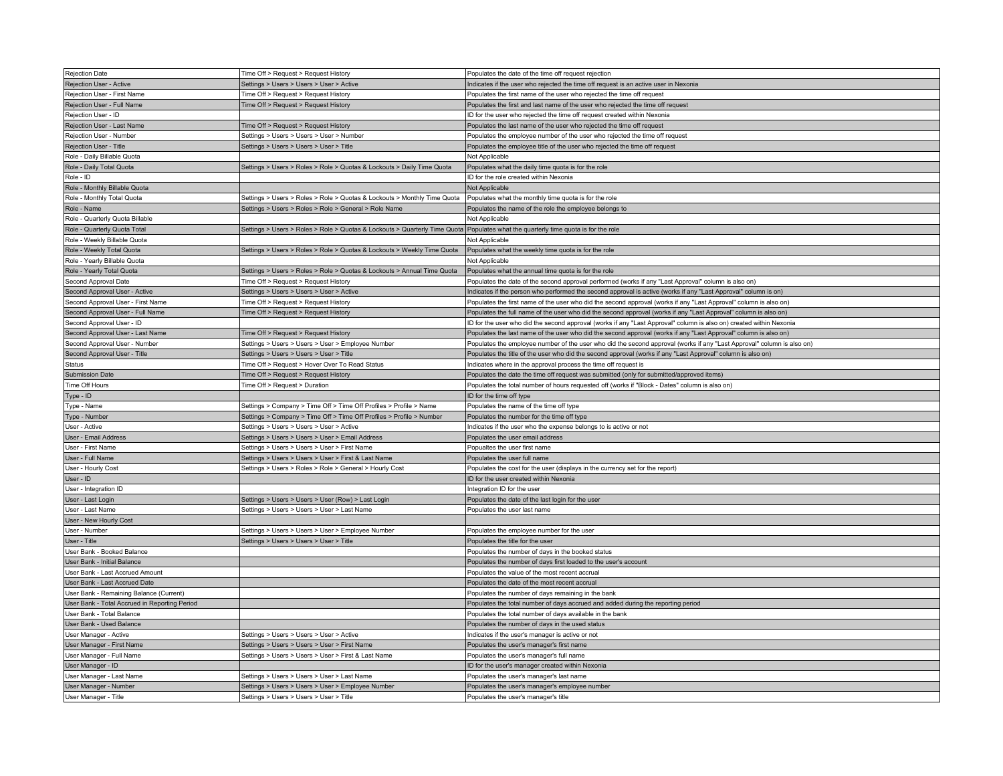| Rejection Date                                                    | Time Off > Request > Request History                                                                                               | Populates the date of the time off request rejection                                                                                                                                                                                   |
|-------------------------------------------------------------------|------------------------------------------------------------------------------------------------------------------------------------|----------------------------------------------------------------------------------------------------------------------------------------------------------------------------------------------------------------------------------------|
| Rejection User - Active                                           | Settings > Users > Users > User > Active                                                                                           | Indicates if the user who rejected the time off request is an active user in Nexonia                                                                                                                                                   |
| Rejection User - First Name                                       | Time Off > Request > Request History                                                                                               | Populates the first name of the user who rejected the time off request                                                                                                                                                                 |
| Rejection User - Full Name                                        | Time Off > Request > Request History                                                                                               | Populates the first and last name of the user who rejected the time off request                                                                                                                                                        |
| Rejection User - ID                                               |                                                                                                                                    | ID for the user who rejected the time off request created within Nexonia                                                                                                                                                               |
| Rejection User - Last Name                                        | Time Off > Request > Request History                                                                                               | Populates the last name of the user who rejected the time off request                                                                                                                                                                  |
| Rejection User - Number                                           | Settings > Users > Users > User > Number                                                                                           | Populates the employee number of the user who rejected the time off request                                                                                                                                                            |
| Rejection User - Title                                            | Settings > Users > Users > User > Title                                                                                            | Populates the employee title of the user who rejected the time off request                                                                                                                                                             |
| Role - Daily Billable Quota                                       |                                                                                                                                    | Not Applicable                                                                                                                                                                                                                         |
| Role - Daily Total Quota                                          | Settings > Users > Roles > Role > Quotas & Lockouts > Daily Time Quota                                                             | Populates what the daily time quota is for the role                                                                                                                                                                                    |
| Role - ID                                                         |                                                                                                                                    | ID for the role created within Nexonia                                                                                                                                                                                                 |
| Role - Monthly Billable Quota                                     |                                                                                                                                    | Not Applicable                                                                                                                                                                                                                         |
| Role - Monthly Total Quota                                        | Settings > Users > Roles > Role > Quotas & Lockouts > Monthly Time Quota                                                           | Populates what the monthly time quota is for the role                                                                                                                                                                                  |
| Role - Name                                                       | Settings > Users > Roles > Role > General > Role Name                                                                              | Populates the name of the role the employee belongs to                                                                                                                                                                                 |
| Role - Quarterly Quota Billable                                   |                                                                                                                                    | Not Applicable                                                                                                                                                                                                                         |
| Role - Quarterly Quota Total                                      | Settings > Users > Roles > Role > Quotas & Lockouts > Quarterly Time Quota Populates what the quarterly time quota is for the role |                                                                                                                                                                                                                                        |
| Role - Weekly Billable Quota                                      |                                                                                                                                    | Not Applicable                                                                                                                                                                                                                         |
| Role - Weekly Total Quota                                         | Settings > Users > Roles > Role > Quotas & Lockouts > Weekly Time Quota                                                            | Populates what the weekly time quota is for the role                                                                                                                                                                                   |
| Role - Yearly Billable Quota                                      |                                                                                                                                    | Not Applicable                                                                                                                                                                                                                         |
| Role - Yearly Total Quota                                         | Settings > Users > Roles > Role > Quotas & Lockouts > Annual Time Quota                                                            | Populates what the annual time quota is for the role                                                                                                                                                                                   |
| Second Approval Date                                              | Time Off > Request > Request History                                                                                               | Populates the date of the second approval performed (works if any "Last Approval" column is also on)                                                                                                                                   |
| Second Approval User - Active                                     | Settings > Users > Users > User > Active                                                                                           | Indicates if the person who performed the second approval is active (works if any "Last Approval" column is on)                                                                                                                        |
| Second Approval User - First Name                                 | Time Off > Request > Request History                                                                                               | Populates the first name of the user who did the second approval (works if any "Last Approval" column is also on)                                                                                                                      |
| Second Approval User - Full Name                                  | Time Off > Request > Request History                                                                                               | Populates the full name of the user who did the second approval (works if any "Last Approval" column is also on)                                                                                                                       |
|                                                                   |                                                                                                                                    |                                                                                                                                                                                                                                        |
| Second Approval User - ID                                         |                                                                                                                                    | ID for the user who did the second approval (works if any "Last Approval" column is also on) created within Nexonia                                                                                                                    |
| Second Approval User - Last Name<br>Second Approval User - Number | Time Off > Request > Request History<br>Settings > Users > Users > User > Employee Number                                          | Populates the last name of the user who did the second approval (works if any "Last Approval" column is also on)                                                                                                                       |
| Second Approval User - Title                                      | Settings > Users > Users > User > Title                                                                                            | Populates the employee number of the user who did the second approval (works if any "Last Approval" column is also on)<br>Populates the title of the user who did the second approval (works if any "Last Approval" column is also on) |
| Status                                                            |                                                                                                                                    |                                                                                                                                                                                                                                        |
| Submission Date                                                   | Time Off > Request > Hover Over To Read Status<br>Time Off > Request > Request History                                             | Indicates where in the approval process the time off request is                                                                                                                                                                        |
|                                                                   |                                                                                                                                    | Populates the date the time off request was submitted (only for submitted/approved items)                                                                                                                                              |
| Time Off Hours                                                    | Time Off > Request > Duration                                                                                                      | Populates the total number of hours requested off (works if "Block - Dates" column is also on)                                                                                                                                         |
| Type - ID                                                         |                                                                                                                                    | ID for the time off type                                                                                                                                                                                                               |
| Type - Name                                                       | Settings > Company > Time Off > Time Off Profiles > Profile > Name                                                                 | Populates the name of the time off type                                                                                                                                                                                                |
| Type - Number                                                     | Settings > Company > Time Off > Time Off Profiles > Profile > Number                                                               | Populates the number for the time off type                                                                                                                                                                                             |
| User - Active                                                     | Settings > Users > Users > User > Active                                                                                           | Indicates if the user who the expense belongs to is active or not                                                                                                                                                                      |
| User - Email Address                                              | Settings > Users > Users > User > Email Address                                                                                    | Populates the user email address                                                                                                                                                                                                       |
| User - First Name                                                 | Settings > Users > Users > User > First Name                                                                                       | Popualtes the user first name                                                                                                                                                                                                          |
| User - Full Name                                                  | Settings > Users > Users > User > First & Last Name                                                                                | Populates the user full name                                                                                                                                                                                                           |
| User - Hourly Cost                                                | Settings > Users > Roles > Role > General > Hourly Cost                                                                            | Populates the cost for the user (displays in the currency set for the report)                                                                                                                                                          |
| User - ID                                                         |                                                                                                                                    | ID for the user created within Nexonia                                                                                                                                                                                                 |
| User - Integration ID                                             |                                                                                                                                    | Integration ID for the user                                                                                                                                                                                                            |
| User - Last Login                                                 | Settings > Users > Users > User (Row) > Last Login                                                                                 | Populates the date of the last login for the user                                                                                                                                                                                      |
| User - Last Name                                                  | Settings > Users > Users > User > Last Name                                                                                        | Populates the user last name                                                                                                                                                                                                           |
| User - New Hourly Cost                                            |                                                                                                                                    |                                                                                                                                                                                                                                        |
| User - Number                                                     | Settings > Users > Users > User > Employee Number                                                                                  | Populates the employee number for the user                                                                                                                                                                                             |
| User - Title                                                      | Settings > Users > Users > User > Title                                                                                            | Populates the title for the user                                                                                                                                                                                                       |
| User Bank - Booked Balance                                        |                                                                                                                                    | Populates the number of days in the booked status                                                                                                                                                                                      |
| User Bank - Initial Balance                                       |                                                                                                                                    | Populates the number of days first loaded to the user's account                                                                                                                                                                        |
| User Bank - Last Accrued Amount                                   |                                                                                                                                    | Populates the value of the most recent accrual                                                                                                                                                                                         |
| User Bank - Last Accrued Date                                     |                                                                                                                                    | Populates the date of the most recent accrual                                                                                                                                                                                          |
| User Bank - Remaining Balance (Current)                           |                                                                                                                                    | Populates the number of days remaining in the bank                                                                                                                                                                                     |
| User Bank - Total Accrued in Reporting Period                     |                                                                                                                                    | Populates the total number of days accrued and added during the reporting period                                                                                                                                                       |
| User Bank - Total Balance                                         |                                                                                                                                    | Populates the total number of days available in the bank                                                                                                                                                                               |
| User Bank - Used Balance                                          |                                                                                                                                    | Populates the number of days in the used status                                                                                                                                                                                        |
| User Manager - Active                                             | Settings > Users > Users > User > Active                                                                                           | Indicates if the user's manager is active or not                                                                                                                                                                                       |
| User Manager - First Name                                         | Settings > Users > Users > User > First Name                                                                                       | Populates the user's manager's first name                                                                                                                                                                                              |
| User Manager - Full Name                                          | Settings > Users > Users > User > First & Last Name                                                                                | Populates the user's manager's full name                                                                                                                                                                                               |
| User Manager - ID                                                 |                                                                                                                                    | ID for the user's manager created within Nexonia                                                                                                                                                                                       |
| User Manager - Last Name                                          | Settings > Users > Users > User > Last Name                                                                                        | Populates the user's manager's last name                                                                                                                                                                                               |
| User Manager - Number                                             | Settings > Users > Users > User > Employee Number                                                                                  | Populates the user's manager's employee number                                                                                                                                                                                         |
| User Manager - Title                                              | Settings > Users > Users > User > Title                                                                                            | Populates the user's manager's title                                                                                                                                                                                                   |